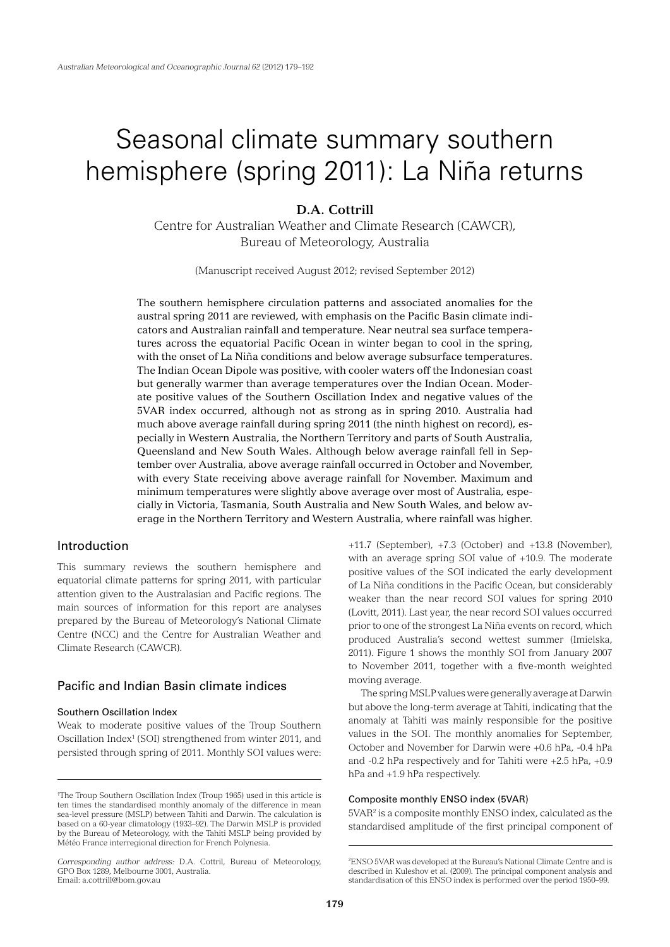# Seasonal climate summary southern hemisphere (spring 2011): La Niña returns

## **D.A. Cottrill**

Centre for Australian Weather and Climate Research (CAWCR), Bureau of Meteorology, Australia

(Manuscript received August 2012; revised September 2012)

The southern hemisphere circulation patterns and associated anomalies for the austral spring 2011 are reviewed, with emphasis on the Pacific Basin climate indicators and Australian rainfall and temperature. Near neutral sea surface temperatures across the equatorial Pacific Ocean in winter began to cool in the spring, with the onset of La Niña conditions and below average subsurface temperatures. The Indian Ocean Dipole was positive, with cooler waters off the Indonesian coast but generally warmer than average temperatures over the Indian Ocean. Moderate positive values of the Southern Oscillation Index and negative values of the 5VAR index occurred, although not as strong as in spring 2010. Australia had much above average rainfall during spring 2011 (the ninth highest on record), especially in Western Australia, the Northern Territory and parts of South Australia, Queensland and New South Wales. Although below average rainfall fell in September over Australia, above average rainfall occurred in October and November, with every State receiving above average rainfall for November. Maximum and minimum temperatures were slightly above average over most of Australia, especially in Victoria, Tasmania, South Australia and New South Wales, and below average in the Northern Territory and Western Australia, where rainfall was higher.

## Introduction

This summary reviews the southern hemisphere and equatorial climate patterns for spring 2011, with particular attention given to the Australasian and Pacific regions. The main sources of information for this report are analyses prepared by the Bureau of Meteorology's National Climate Centre (NCC) and the Centre for Australian Weather and Climate Research (CAWCR).

## Pacific and Indian Basin climate indices

## Southern Oscillation Index

Weak to moderate positive values of the Troup Southern Oscillation Index<sup>1</sup> (SOI) strengthened from winter 2011, and persisted through spring of 2011. Monthly SOI values were:

+11.7 (September), +7.3 (October) and +13.8 (November), with an average spring SOI value of +10.9. The moderate positive values of the SOI indicated the early development of La Niña conditions in the Pacific Ocean, but considerably weaker than the near record SOI values for spring 2010 (Lovitt, 2011). Last year, the near record SOI values occurred prior to one of the strongest La Niña events on record, which produced Australia's second wettest summer (Imielska, 2011). Figure 1 shows the monthly SOI from January 2007 to November 2011, together with a five-month weighted moving average.

The spring MSLP values were generally average at Darwin but above the long-term average at Tahiti, indicating that the anomaly at Tahiti was mainly responsible for the positive values in the SOI. The monthly anomalies for September, October and November for Darwin were +0.6 hPa, -0.4 hPa and -0.2 hPa respectively and for Tahiti were +2.5 hPa, +0.9 hPa and +1.9 hPa respectively.

#### Composite monthly ENSO index (5VAR)

5VAR2 is a composite monthly ENSO index, calculated as the standardised amplitude of the first principal component of

<sup>1</sup> The Troup Southern Oscillation Index (Troup 1965) used in this article is ten times the standardised monthly anomaly of the difference in mean sea-level pressure (MSLP) between Tahiti and Darwin. The calculation is based on a 60-year climatology (1933–92). The Darwin MSLP is provided by the Bureau of Meteorology, with the Tahiti MSLP being provided by Météo France interregional direction for French Polynesia.

*Corresponding author address:* D.A. Cottril, Bureau of Meteorology, GPO Box 1289, Melbourne 3001, Australia. Email: a.cottrill@bom.gov.au

<sup>2</sup> ENSO 5VAR was developed at the Bureau's National Climate Centre and is described in Kuleshov et al. (2009). The principal component analysis and standardisation of this ENSO index is performed over the period 1950–99.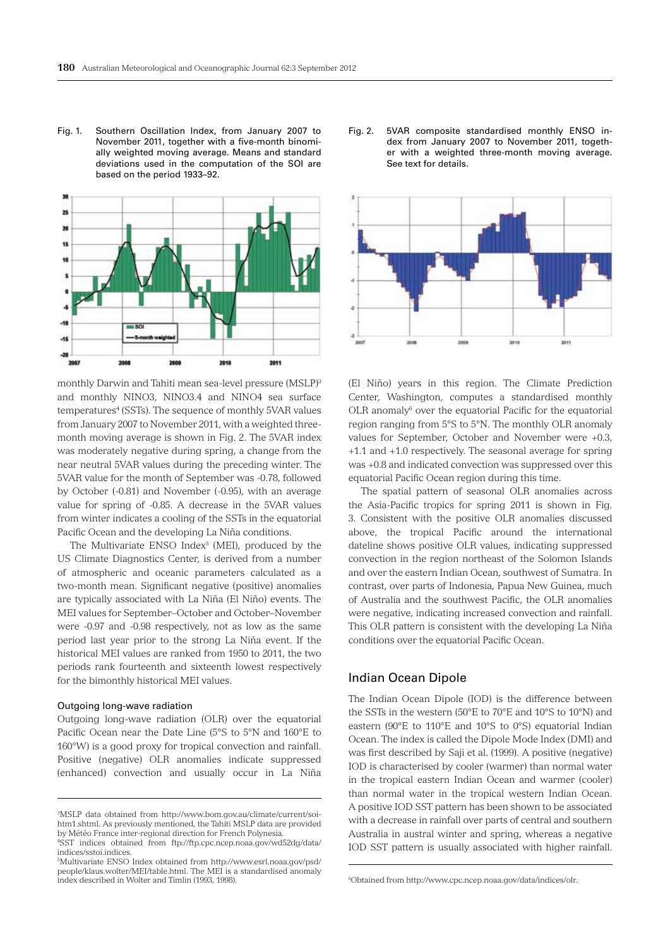Fig. 1. Southern Oscillation Index, from January 2007 to November 2011, together with a five-month binomially weighted moving average. Means and standard deviations used in the computation of the SOI are based on the period 1933–92.



monthly Darwin and Tahiti mean sea-level pressure (MSLP)3 and monthly NINO3, NINO3.4 and NINO4 sea surface temperatures<sup>4</sup> (SSTs). The sequence of monthly 5VAR values from January 2007 to November 2011, with a weighted threemonth moving average is shown in Fig. 2. The 5VAR index was moderately negative during spring, a change from the near neutral 5VAR values during the preceding winter. The 5VAR value for the month of September was -0.78, followed by October (-0.81) and November (-0.95), with an average value for spring of -0.85. A decrease in the 5VAR values from winter indicates a cooling of the SSTs in the equatorial Pacific Ocean and the developing La Niña conditions.

The Multivariate ENSO  $Index<sup>5</sup>$  (MEI), produced by the US Climate Diagnostics Center, is derived from a number of atmospheric and oceanic parameters calculated as a two-month mean. Significant negative (positive) anomalies are typically associated with La Niña (El Niño) events. The MEI values for September–October and October–November were -0.97 and -0.98 respectively, not as low as the same period last year prior to the strong La Niña event. If the historical MEI values are ranked from 1950 to 2011, the two periods rank fourteenth and sixteenth lowest respectively for the bimonthly historical MEI values.

#### Outgoing long-wave radiation

Outgoing long-wave radiation (OLR) over the equatorial Pacific Ocean near the Date Line (5°S to 5°N and 160°E to 160°W) is a good proxy for tropical convection and rainfall. Positive (negative) OLR anomalies indicate suppressed (enhanced) convection and usually occur in La Niña

Fig. 2. 5VAR composite standardised monthly ENSO index from January 2007 to November 2011, together with a weighted three-month moving average. See text for details.



(El Niño) years in this region. The Climate Prediction Center, Washington, computes a standardised monthly OLR anomaly<sup>6</sup> over the equatorial Pacific for the equatorial region ranging from 5°S to 5°N. The monthly OLR anomaly values for September, October and November were +0.3, +1.1 and +1.0 respectively. The seasonal average for spring was +0.8 and indicated convection was suppressed over this equatorial Pacific Ocean region during this time.

The spatial pattern of seasonal OLR anomalies across the Asia-Pacific tropics for spring 2011 is shown in Fig. 3. Consistent with the positive OLR anomalies discussed above, the tropical Pacific around the international dateline shows positive OLR values, indicating suppressed convection in the region northeast of the Solomon Islands and over the eastern Indian Ocean, southwest of Sumatra. In contrast, over parts of Indonesia, Papua New Guinea, much of Australia and the southwest Pacific, the OLR anomalies were negative, indicating increased convection and rainfall. This OLR pattern is consistent with the developing La Niña conditions over the equatorial Pacific Ocean.

## Indian Ocean Dipole

The Indian Ocean Dipole (IOD) is the difference between the SSTs in the western (50°E to 70°E and 10°S to 10°N) and eastern (90°E to 110°E and 10°S to 0°S) equatorial Indian Ocean. The index is called the Dipole Mode Index (DMI) and was first described by Saji et al. (1999). A positive (negative) IOD is characterised by cooler (warmer) than normal water in the tropical eastern Indian Ocean and warmer (cooler) than normal water in the tropical western Indian Ocean. A positive IOD SST pattern has been shown to be associated with a decrease in rainfall over parts of central and southern Australia in austral winter and spring, whereas a negative IOD SST pattern is usually associated with higher rainfall.

<sup>3</sup> MSLP data obtained from http://www.bom.gov.au/climate/current/soihtm1.shtml. As previously mentioned, the Tahiti MSLP data are provided by Météo France inter-regional direction for French Polynesia.

<sup>4</sup> SST indices obtained from ftp://ftp.cpc.ncep.noaa.gov/wd52dg/data/ indices/sstoi.indices.

<sup>5</sup> Multivariate ENSO Index obtained from http://www.esrl.noaa.gov/psd/ people/klaus.wolter/MEI/table.html. The MEI is a standardised anomaly index described in Wolter and Timlin (1993, 1998).

<sup>6</sup> Obtained from http://www.cpc.ncep.noaa.gov/data/indices/olr.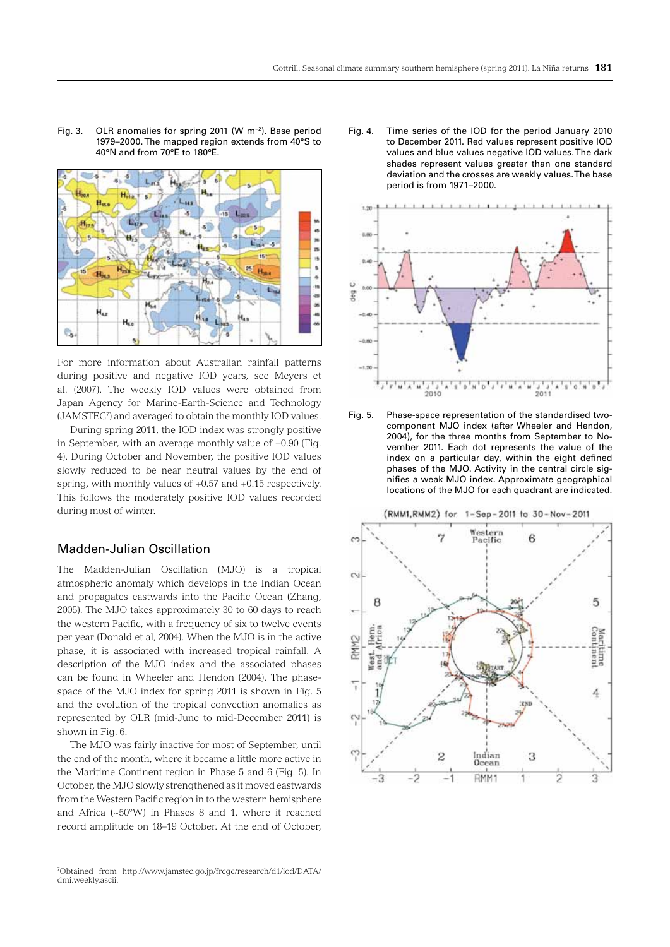Fig. 3. OLR anomalies for spring 2011 (W m−2). Base period 1979–2000. The mapped region extends from 40°S to 40°N and from 70°E to 180°E.



For more information about Australian rainfall patterns during positive and negative IOD years, see Meyers et al. (2007). The weekly IOD values were obtained from Japan Agency for Marine-Earth-Science and Technology (JAMSTEC7 ) and averaged to obtain the monthly IOD values.

During spring 2011, the IOD index was strongly positive in September, with an average monthly value of +0.90 (Fig. 4). During October and November, the positive IOD values slowly reduced to be near neutral values by the end of spring, with monthly values of +0.57 and +0.15 respectively. This follows the moderately positive IOD values recorded during most of winter.

## Madden-Julian Oscillation

The Madden-Julian Oscillation (MJO) is a tropical atmospheric anomaly which develops in the Indian Ocean and propagates eastwards into the Pacific Ocean (Zhang, 2005). The MJO takes approximately 30 to 60 days to reach the western Pacific, with a frequency of six to twelve events per year (Donald et al, 2004). When the MJO is in the active phase, it is associated with increased tropical rainfall. A description of the MJO index and the associated phases can be found in Wheeler and Hendon (2004). The phasespace of the MJO index for spring 2011 is shown in Fig. 5 and the evolution of the tropical convection anomalies as represented by OLR (mid-June to mid-December 2011) is shown in Fig. 6.

The MJO was fairly inactive for most of September, until the end of the month, where it became a little more active in the Maritime Continent region in Phase 5 and 6 (Fig. 5). In October, the MJO slowly strengthened as it moved eastwards from the Western Pacific region in to the western hemisphere and Africa (~50°W) in Phases 8 and 1, where it reached record amplitude on 18–19 October. At the end of October, Fig. 4. Time series of the IOD for the period January 2010 to December 2011. Red values represent positive IOD values and blue values negative IOD values. The dark shades represent values greater than one standard deviation and the crosses are weekly values. The base period is from 1971–2000.



Fig. 5. Phase-space representation of the standardised twocomponent MJO index (after Wheeler and Hendon, 2004), for the three months from September to November 2011. Each dot represents the value of the index on a particular day, within the eight defined phases of the MJO. Activity in the central circle signifies a weak MJO index. Approximate geographical locations of the MJO for each quadrant are indicated.



<sup>7</sup> Obtained from http://www.jamstec.go.jp/frcgc/research/d1/iod/DATA/ dmi.weekly.ascii.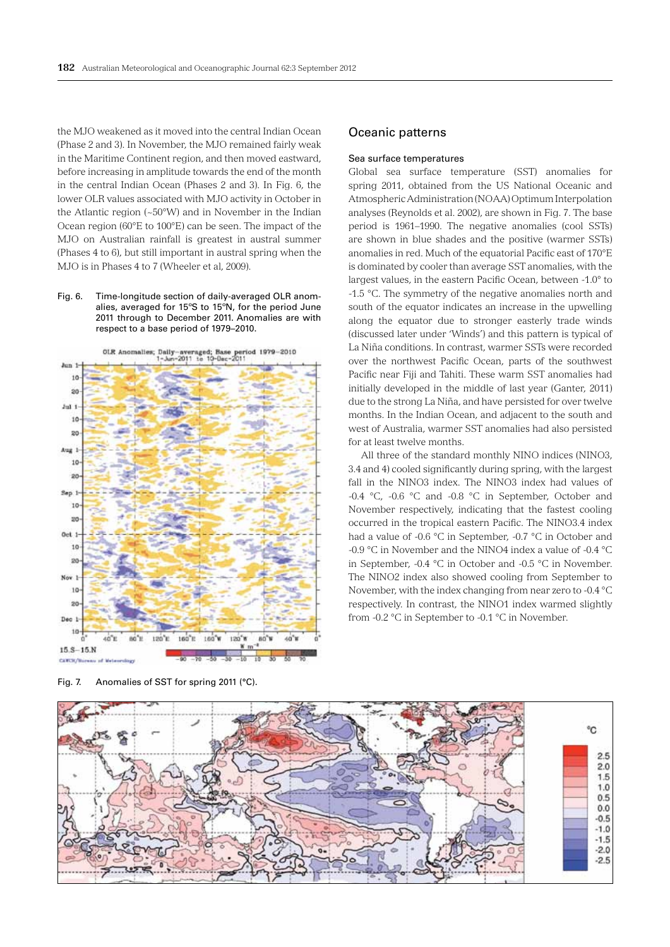the MJO weakened as it moved into the central Indian Ocean (Phase 2 and 3). In November, the MJO remained fairly weak in the Maritime Continent region, and then moved eastward, before increasing in amplitude towards the end of the month in the central Indian Ocean (Phases 2 and 3). In Fig. 6, the lower OLR values associated with MJO activity in October in the Atlantic region (~50°W) and in November in the Indian Ocean region (60°E to 100°E) can be seen. The impact of the MJO on Australian rainfall is greatest in austral summer (Phases 4 to 6), but still important in austral spring when the MJO is in Phases 4 to 7 (Wheeler et al, 2009).

Fig. 6. Time-longitude section of daily-averaged OLR anomalies, averaged for 15ºS to 15ºN, for the period June 2011 through to December 2011. Anomalies are with respect to a base period of 1979–2010.



Fig. 7. Anomalies of SST for spring 2011 (°C).

## Oceanic patterns

## Sea surface temperatures

Global sea surface temperature (SST) anomalies for spring 2011, obtained from the US National Oceanic and Atmospheric Administration (NOAA) Optimum Interpolation analyses (Reynolds et al. 2002), are shown in Fig. 7. The base period is 1961–1990. The negative anomalies (cool SSTs) are shown in blue shades and the positive (warmer SSTs) anomalies in red. Much of the equatorial Pacific east of 170°E is dominated by cooler than average SST anomalies, with the largest values, in the eastern Pacific Ocean, between -1.0° to -1.5 °C. The symmetry of the negative anomalies north and south of the equator indicates an increase in the upwelling along the equator due to stronger easterly trade winds (discussed later under 'Winds') and this pattern is typical of La Niña conditions. In contrast, warmer SSTs were recorded over the northwest Pacific Ocean, parts of the southwest Pacific near Fiji and Tahiti. These warm SST anomalies had initially developed in the middle of last year (Ganter, 2011) due to the strong La Niña, and have persisted for over twelve months. In the Indian Ocean, and adjacent to the south and west of Australia, warmer SST anomalies had also persisted for at least twelve months.

All three of the standard monthly NINO indices (NINO3, 3.4 and 4) cooled significantly during spring, with the largest fall in the NINO3 index. The NINO3 index had values of -0.4 °C, -0.6 °C and -0.8 °C in September, October and November respectively, indicating that the fastest cooling occurred in the tropical eastern Pacific. The NINO3.4 index had a value of -0.6 °C in September, -0.7 °C in October and -0.9  $^{\circ}$ C in November and the NINO4 index a value of -0.4  $^{\circ}$ C in September, -0.4 °C in October and -0.5 °C in November. The NINO2 index also showed cooling from September to November, with the index changing from near zero to -0.4 °C respectively. In contrast, the NINO1 index warmed slightly from -0.2 °C in September to -0.1 °C in November.

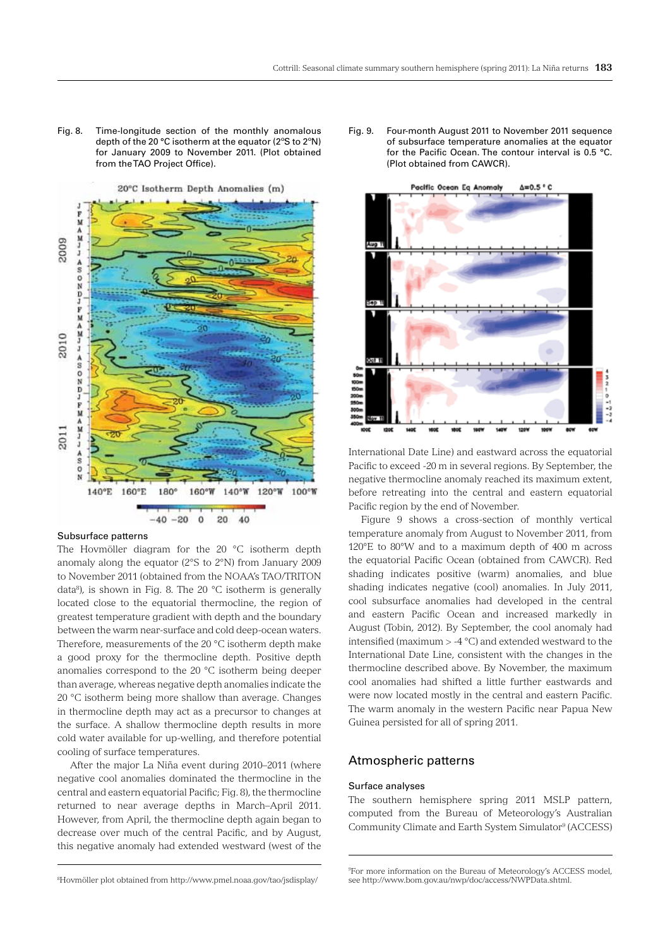Fig. 8. Time-longitude section of the monthly anomalous depth of the 20 °C isotherm at the equator (2ºS to 2ºN) for January 2009 to November 2011. (Plot obtained from the TAO Project Office).



## Subsurface patterns

The Hovmöller diagram for the 20 °C isotherm depth anomaly along the equator (2°S to 2°N) from January 2009 to November 2011 (obtained from the NOAA's TAO/TRITON data<sup>8</sup>), is shown in Fig. 8. The 20  $\degree$ C isotherm is generally located close to the equatorial thermocline, the region of greatest temperature gradient with depth and the boundary between the warm near-surface and cold deep-ocean waters. Therefore, measurements of the 20 °C isotherm depth make a good proxy for the thermocline depth. Positive depth anomalies correspond to the 20 °C isotherm being deeper than average, whereas negative depth anomalies indicate the 20 °C isotherm being more shallow than average. Changes in thermocline depth may act as a precursor to changes at the surface. A shallow thermocline depth results in more cold water available for up-welling, and therefore potential cooling of surface temperatures.

After the major La Niña event during 2010–2011 (where negative cool anomalies dominated the thermocline in the central and eastern equatorial Pacific; Fig. 8), the thermocline returned to near average depths in March–April 2011. However, from April, the thermocline depth again began to decrease over much of the central Pacific, and by August, this negative anomaly had extended westward (west of the

Fig. 9. Four-month August 2011 to November 2011 sequence of subsurface temperature anomalies at the equator for the Pacific Ocean. The contour interval is 0.5 °C. (Plot obtained from CAWCR).



International Date Line) and eastward across the equatorial Pacific to exceed -20 m in several regions. By September, the negative thermocline anomaly reached its maximum extent, before retreating into the central and eastern equatorial Pacific region by the end of November.

Figure 9 shows a cross-section of monthly vertical temperature anomaly from August to November 2011, from 120°E to 80°W and to a maximum depth of 400 m across the equatorial Pacific Ocean (obtained from CAWCR). Red shading indicates positive (warm) anomalies, and blue shading indicates negative (cool) anomalies. In July 2011, cool subsurface anomalies had developed in the central and eastern Pacific Ocean and increased markedly in August (Tobin, 2012). By September, the cool anomaly had intensified (maximum > -4 °C) and extended westward to the International Date Line, consistent with the changes in the thermocline described above. By November, the maximum cool anomalies had shifted a little further eastwards and were now located mostly in the central and eastern Pacific. The warm anomaly in the western Pacific near Papua New Guinea persisted for all of spring 2011.

## Atmospheric patterns

## Surface analyses

The southern hemisphere spring 2011 MSLP pattern, computed from the Bureau of Meteorology's Australian Community Climate and Earth System Simulator<sup>9</sup> (ACCESS)

<sup>8</sup> Hovmöller plot obtained from http://www.pmel.noaa.gov/tao/jsdisplay/

<sup>9</sup> For more information on the Bureau of Meteorology's ACCESS model, see http://www.bom.gov.au/nwp/doc/access/NWPData.shtml.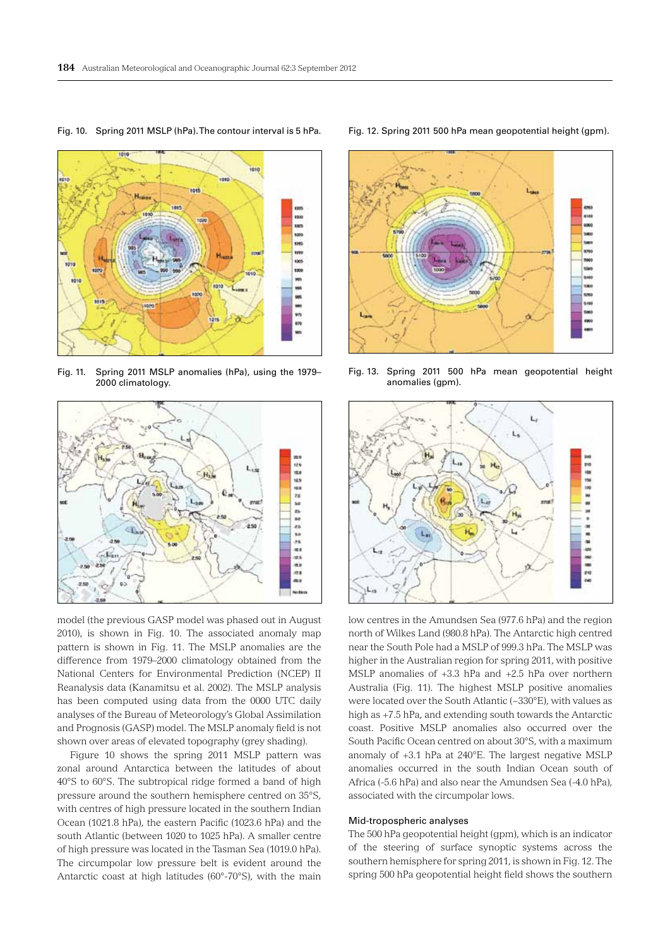

Fig. 10. Spring 2011 MSLP (hPa). The contour interval is 5 hPa.

Fig. 11. Spring 2011 MSLP anomalies (hPa), using the 1979– 2000 climatology.



model (the previous GASP model was phased out in August 2010), is shown in Fig. 10. The associated anomaly map pattern is shown in Fig. 11. The MSLP anomalies are the difference from 1979–2000 climatology obtained from the National Centers for Environmental Prediction (NCEP) II Reanalysis data (Kanamitsu et al. 2002). The MSLP analysis has been computed using data from the 0000 UTC daily analyses of the Bureau of Meteorology's Global Assimilation and Prognosis (GASP) model. The MSLP anomaly field is not shown over areas of elevated topography (grey shading).

Figure 10 shows the spring 2011 MSLP pattern was zonal around Antarctica between the latitudes of about 40°S to 60°S. The subtropical ridge formed a band of high pressure around the southern hemisphere centred on 35°S, with centres of high pressure located in the southern Indian Ocean (1021.8 hPa), the eastern Pacific (1023.6 hPa) and the south Atlantic (between 1020 to 1025 hPa). A smaller centre of high pressure was located in the Tasman Sea (1019.0 hPa). The circumpolar low pressure belt is evident around the Antarctic coast at high latitudes (60°-70°S), with the main

Fig. 12. Spring 2011 500 hPa mean geopotential height (gpm).



Fig. 13. Spring 2011 500 hPa mean geopotential height anomalies (gpm).



low centres in the Amundsen Sea (977.6 hPa) and the region north of Wilkes Land (980.8 hPa). The Antarctic high centred near the South Pole had a MSLP of 999.3 hPa. The MSLP was higher in the Australian region for spring 2011, with positive MSLP anomalies of +3.3 hPa and +2.5 hPa over northern Australia (Fig. 11). The highest MSLP positive anomalies were located over the South Atlantic (~330°E), with values as high as +7.5 hPa, and extending south towards the Antarctic coast. Positive MSLP anomalies also occurred over the South Pacific Ocean centred on about 30°S, with a maximum anomaly of +3.1 hPa at 240°E. The largest negative MSLP anomalies occurred in the south Indian Ocean south of Africa (-5.6 hPa) and also near the Amundsen Sea (-4.0 hPa), associated with the circumpolar lows.

#### Mid-tropospheric analyses

The 500 hPa geopotential height (gpm), which is an indicator of the steering of surface synoptic systems across the southern hemisphere for spring 2011, is shown in Fig. 12. The spring 500 hPa geopotential height field shows the southern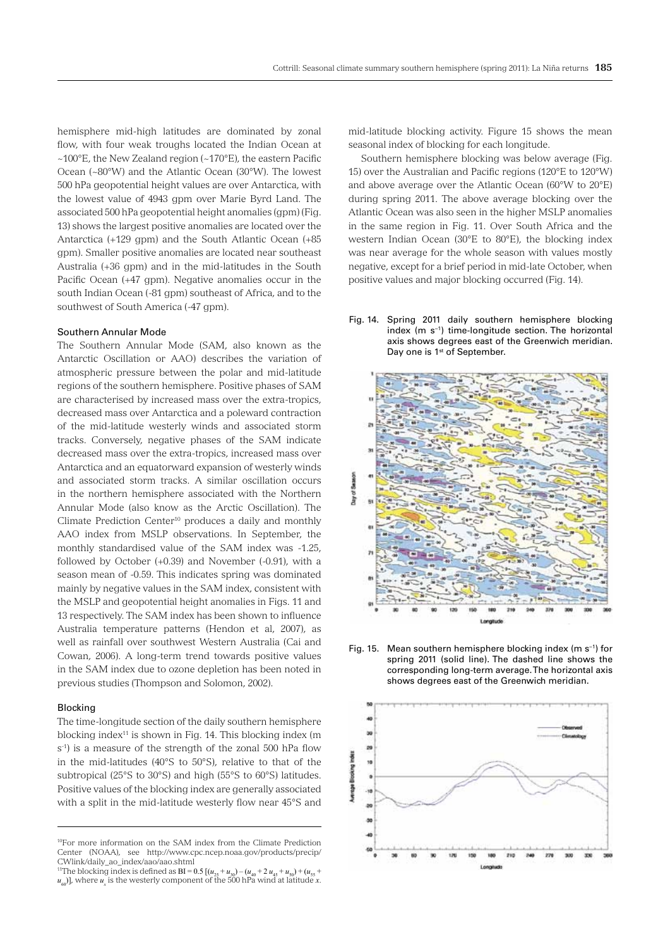hemisphere mid-high latitudes are dominated by zonal flow, with four weak troughs located the Indian Ocean at  $~100^{\circ}$ E, the New Zealand region (~170 $^{\circ}$ E), the eastern Pacific Ocean (~80°W) and the Atlantic Ocean (30°W). The lowest 500 hPa geopotential height values are over Antarctica, with the lowest value of 4943 gpm over Marie Byrd Land. The associated 500 hPa geopotential height anomalies (gpm) (Fig. 13) shows the largest positive anomalies are located over the Antarctica (+129 gpm) and the South Atlantic Ocean (+85 gpm). Smaller positive anomalies are located near southeast Australia (+36 gpm) and in the mid-latitudes in the South Pacific Ocean (+47 gpm). Negative anomalies occur in the south Indian Ocean (-81 gpm) southeast of Africa, and to the southwest of South America (-47 gpm).

#### Southern Annular Mode

The Southern Annular Mode (SAM, also known as the Antarctic Oscillation or AAO) describes the variation of atmospheric pressure between the polar and mid-latitude regions of the southern hemisphere. Positive phases of SAM are characterised by increased mass over the extra-tropics, decreased mass over Antarctica and a poleward contraction of the mid-latitude westerly winds and associated storm tracks. Conversely, negative phases of the SAM indicate decreased mass over the extra-tropics, increased mass over Antarctica and an equatorward expansion of westerly winds and associated storm tracks. A similar oscillation occurs in the northern hemisphere associated with the Northern Annular Mode (also know as the Arctic Oscillation). The Climate Prediction Center<sup>10</sup> produces a daily and monthly AAO index from MSLP observations. In September, the monthly standardised value of the SAM index was -1.25, followed by October (+0.39) and November (-0.91), with a season mean of -0.59. This indicates spring was dominated mainly by negative values in the SAM index, consistent with the MSLP and geopotential height anomalies in Figs. 11 and 13 respectively. The SAM index has been shown to influence Australia temperature patterns (Hendon et al, 2007), as well as rainfall over southwest Western Australia (Cai and Cowan, 2006). A long-term trend towards positive values in the SAM index due to ozone depletion has been noted in previous studies (Thompson and Solomon, 2002).

#### Blocking

The time-longitude section of the daily southern hemisphere blocking index $11$  is shown in Fig. 14. This blocking index (m s<sup>-1</sup>) is a measure of the strength of the zonal 500 hPa flow in the mid-latitudes (40°S to 50°S), relative to that of the subtropical (25°S to 30°S) and high (55°S to 60°S) latitudes. Positive values of the blocking index are generally associated with a split in the mid-latitude westerly flow near 45°S and

mid-latitude blocking activity. Figure 15 shows the mean seasonal index of blocking for each longitude.

Southern hemisphere blocking was below average (Fig. 15) over the Australian and Pacific regions (120°E to 120°W) and above average over the Atlantic Ocean (60°W to 20°E) during spring 2011. The above average blocking over the Atlantic Ocean was also seen in the higher MSLP anomalies in the same region in Fig. 11. Over South Africa and the western Indian Ocean (30°E to 80°E), the blocking index was near average for the whole season with values mostly negative, except for a brief period in mid-late October, when positive values and major blocking occurred (Fig. 14).









<sup>10</sup>For more information on the SAM index from the Climate Prediction Center (NOAA), see http://www.cpc.ncep.noaa.gov/products/precip/ CWlink/daily\_ao\_index/aao/aao.shtml

<sup>&</sup>lt;sup>11</sup>The blocking index is defined as BI = 0.5  $[(u_{25} + u_{30}) - (u_{40} + 2 u_{45} + u_{50}) + (u_{55} + u_{56})]$  $u_{60}$ ], where  $u_x$  is the westerly component of the 500 hPa wind at latitude *x*.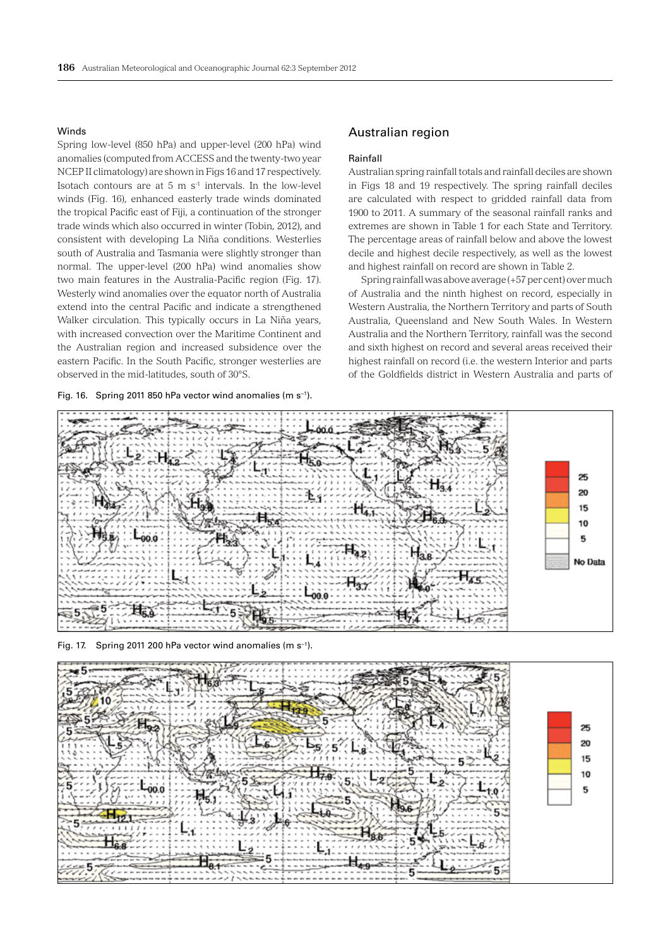#### Winds

Spring low-level (850 hPa) and upper-level (200 hPa) wind anomalies (computed from ACCESS and the twenty-two year NCEP II climatology) are shown in Figs 16 and 17 respectively. Isotach contours are at 5 m  $s<sup>-1</sup>$  intervals. In the low-level winds (Fig. 16), enhanced easterly trade winds dominated the tropical Pacific east of Fiji, a continuation of the stronger trade winds which also occurred in winter (Tobin, 2012), and consistent with developing La Niña conditions. Westerlies south of Australia and Tasmania were slightly stronger than normal. The upper-level (200 hPa) wind anomalies show two main features in the Australia-Pacific region (Fig. 17). Westerly wind anomalies over the equator north of Australia extend into the central Pacific and indicate a strengthened Walker circulation. This typically occurs in La Niña years, with increased convection over the Maritime Continent and the Australian region and increased subsidence over the eastern Pacific. In the South Pacific, stronger westerlies are observed in the mid-latitudes, south of 30°S.

Fig. 16. Spring 2011 850 hPa vector wind anomalies (m s−1).

## Australian region

#### Rainfall

Australian spring rainfall totals and rainfall deciles are shown in Figs 18 and 19 respectively. The spring rainfall deciles are calculated with respect to gridded rainfall data from 1900 to 2011. A summary of the seasonal rainfall ranks and extremes are shown in Table 1 for each State and Territory. The percentage areas of rainfall below and above the lowest decile and highest decile respectively, as well as the lowest and highest rainfall on record are shown in Table 2.

Spring rainfall was above average (+57 per cent) over much of Australia and the ninth highest on record, especially in Western Australia, the Northern Territory and parts of South Australia, Queensland and New South Wales. In Western Australia and the Northern Territory, rainfall was the second and sixth highest on record and several areas received their highest rainfall on record (i.e. the western Interior and parts of the Goldfields district in Western Australia and parts of





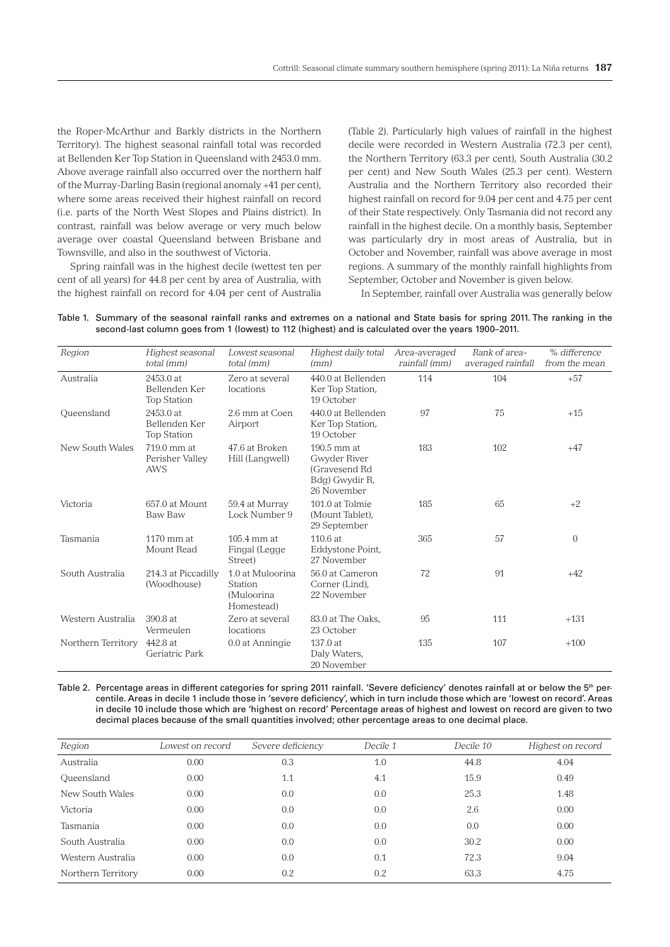the Roper-McArthur and Barkly districts in the Northern Territory). The highest seasonal rainfall total was recorded at Bellenden Ker Top Station in Queensland with 2453.0 mm. Above average rainfall also occurred over the northern half of the Murray-Darling Basin (regional anomaly +41 per cent), where some areas received their highest rainfall on record (i.e. parts of the North West Slopes and Plains district). In contrast, rainfall was below average or very much below average over coastal Queensland between Brisbane and Townsville, and also in the southwest of Victoria.

Spring rainfall was in the highest decile (wettest ten per cent of all years) for 44.8 per cent by area of Australia, with the highest rainfall on record for 4.04 per cent of Australia

(Table 2). Particularly high values of rainfall in the highest decile were recorded in Western Australia (72.3 per cent), the Northern Territory (63.3 per cent), South Australia (30.2 per cent) and New South Wales (25.3 per cent). Western Australia and the Northern Territory also recorded their highest rainfall on record for 9.04 per cent and 4.75 per cent of their State respectively. Only Tasmania did not record any rainfall in the highest decile. On a monthly basis, September was particularly dry in most areas of Australia, but in October and November, rainfall was above average in most regions. A summary of the monthly rainfall highlights from September, October and November is given below.

In September, rainfall over Australia was generally below

| Region             | Highest seasonal<br>total (mm)                   | Lowest seasonal<br>total (mm)                           | Highest daily total<br>(mm)                                                   | Area-averaged<br>rainfall (mm) | Rank of area-<br>averaged rainfall | % difference<br>from the mean |
|--------------------|--------------------------------------------------|---------------------------------------------------------|-------------------------------------------------------------------------------|--------------------------------|------------------------------------|-------------------------------|
| Australia          | 2453.0 at<br>Bellenden Ker<br><b>Top Station</b> | Zero at several<br>locations                            | 440.0 at Bellenden<br>Ker Top Station,<br>19 October                          | 114                            | 104                                | $+57$                         |
| Queensland         | 2453.0 at<br>Bellenden Ker<br><b>Top Station</b> | 2.6 mm at Coen<br>Airport                               | 440.0 at Bellenden<br>Ker Top Station,<br>19 October                          | 97                             | 75                                 | $+15$                         |
| New South Wales    | 719.0 mm at<br>Perisher Valley<br>AWS            | 47.6 at Broken<br>Hill (Langwell)                       | 190.5 mm at<br>Gwyder River<br>(Gravesend Rd<br>Bdg) Gwydir R,<br>26 November | 183                            | 102                                | $+47$                         |
| Victoria           | 657.0 at Mount<br>Baw Baw                        | 59.4 at Murray<br>Lock Number 9                         | 101.0 at Tolmie<br>(Mount Tablet),<br>29 September                            | 185                            | 65                                 | $+2$                          |
| Tasmania           | $1170 \text{ mm}$ at<br>Mount Read               | 105.4 mm at<br>Fingal (Legge<br>Street)                 | 110.6 at<br>Eddystone Point,<br>27 November                                   | 365                            | 57                                 | $\mathbf{0}$                  |
| South Australia    | 214.3 at Piccadilly<br>(Woodhouse)               | 1.0 at Muloorina<br>Station<br>(Muloorina<br>Homestead) | 56.0 at Cameron<br>Corner (Lind),<br>22 November                              | 72                             | 91                                 | $+42$                         |
| Western Australia  | 390.8 at<br>Vermeulen                            | Zero at several<br>locations                            | 83.0 at The Oaks.<br>23 October                                               | 95                             | 111                                | $+131$                        |
| Northern Territory | 442.8 at<br>Geriatric Park                       | 0.0 at Anningie                                         | 137.0 at<br>Daly Waters,<br>20 November                                       | 135                            | 107                                | $+100$                        |

Table 1. Summary of the seasonal rainfall ranks and extremes on a national and State basis for spring 2011. The ranking in the second-last column goes from 1 (lowest) to 112 (highest) and is calculated over the years 1900–2011.

Table 2. Percentage areas in different categories for spring 2011 rainfall. 'Severe deficiency' denotes rainfall at or below the 5<sup>th</sup> percentile. Areas in decile 1 include those in 'severe deficiency', which in turn include those which are 'lowest on record'. Areas in decile 10 include those which are 'highest on record' Percentage areas of highest and lowest on record are given to two decimal places because of the small quantities involved; other percentage areas to one decimal place.

| Region             | Lowest on record | Severe deficiency | Decile 1 | Decile 10 | Highest on record |
|--------------------|------------------|-------------------|----------|-----------|-------------------|
| Australia          | 0.00             | 0.3               | 1.0      | 44.8      | 4.04              |
| Queensland         | 0.00             | 1.1               | 4.1      | 15.9      | 0.49              |
| New South Wales    | 0.00             | 0.0               | 0.0      | 25.3      | 1.48              |
| Victoria           | 0.00             | 0.0               | 0.0      | 2.6       | 0.00              |
| Tasmania           | 0.00             | 0.0               | 0.0      | 0.0       | 0.00              |
| South Australia    | 0.00             | 0.0               | 0.0      | 30.2      | 0.00              |
| Western Australia  | 0.00             | 0.0               | 0.1      | 72.3      | 9.04              |
| Northern Territory | 0.00             | 0.2               | 0.2      | 63.3      | 4.75              |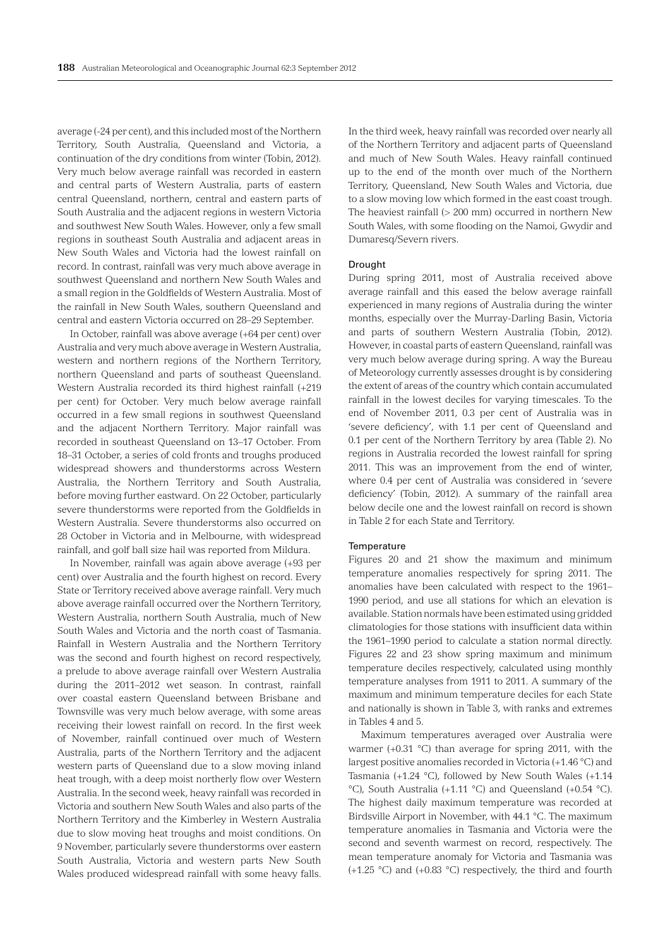average (-24 per cent), and this included most of the Northern Territory, South Australia, Queensland and Victoria, a continuation of the dry conditions from winter (Tobin, 2012). Very much below average rainfall was recorded in eastern and central parts of Western Australia, parts of eastern central Queensland, northern, central and eastern parts of South Australia and the adjacent regions in western Victoria and southwest New South Wales. However, only a few small regions in southeast South Australia and adjacent areas in New South Wales and Victoria had the lowest rainfall on record. In contrast, rainfall was very much above average in southwest Queensland and northern New South Wales and a small region in the Goldfields of Western Australia. Most of the rainfall in New South Wales, southern Queensland and central and eastern Victoria occurred on 28–29 September.

In October, rainfall was above average (+64 per cent) over Australia and very much above average in Western Australia, western and northern regions of the Northern Territory, northern Queensland and parts of southeast Queensland. Western Australia recorded its third highest rainfall (+219 per cent) for October. Very much below average rainfall occurred in a few small regions in southwest Queensland and the adjacent Northern Territory. Major rainfall was recorded in southeast Queensland on 13–17 October. From 18–31 October, a series of cold fronts and troughs produced widespread showers and thunderstorms across Western Australia, the Northern Territory and South Australia, before moving further eastward. On 22 October, particularly severe thunderstorms were reported from the Goldfields in Western Australia. Severe thunderstorms also occurred on 28 October in Victoria and in Melbourne, with widespread rainfall, and golf ball size hail was reported from Mildura.

In November, rainfall was again above average (+93 per cent) over Australia and the fourth highest on record. Every State or Territory received above average rainfall. Very much above average rainfall occurred over the Northern Territory, Western Australia, northern South Australia, much of New South Wales and Victoria and the north coast of Tasmania. Rainfall in Western Australia and the Northern Territory was the second and fourth highest on record respectively, a prelude to above average rainfall over Western Australia during the 2011–2012 wet season. In contrast, rainfall over coastal eastern Queensland between Brisbane and Townsville was very much below average, with some areas receiving their lowest rainfall on record. In the first week of November, rainfall continued over much of Western Australia, parts of the Northern Territory and the adjacent western parts of Queensland due to a slow moving inland heat trough, with a deep moist northerly flow over Western Australia. In the second week, heavy rainfall was recorded in Victoria and southern New South Wales and also parts of the Northern Territory and the Kimberley in Western Australia due to slow moving heat troughs and moist conditions. On 9 November, particularly severe thunderstorms over eastern South Australia, Victoria and western parts New South Wales produced widespread rainfall with some heavy falls.

In the third week, heavy rainfall was recorded over nearly all of the Northern Territory and adjacent parts of Queensland and much of New South Wales. Heavy rainfall continued up to the end of the month over much of the Northern Territory, Queensland, New South Wales and Victoria, due to a slow moving low which formed in the east coast trough. The heaviest rainfall (> 200 mm) occurred in northern New South Wales, with some flooding on the Namoi, Gwydir and Dumaresq/Severn rivers.

#### Drought

During spring 2011, most of Australia received above average rainfall and this eased the below average rainfall experienced in many regions of Australia during the winter months, especially over the Murray-Darling Basin, Victoria and parts of southern Western Australia (Tobin, 2012). However, in coastal parts of eastern Queensland, rainfall was very much below average during spring. A way the Bureau of Meteorology currently assesses drought is by considering the extent of areas of the country which contain accumulated rainfall in the lowest deciles for varying timescales. To the end of November 2011, 0.3 per cent of Australia was in 'severe deficiency', with 1.1 per cent of Queensland and 0.1 per cent of the Northern Territory by area (Table 2). No regions in Australia recorded the lowest rainfall for spring 2011. This was an improvement from the end of winter, where 0.4 per cent of Australia was considered in 'severe deficiency' (Tobin, 2012). A summary of the rainfall area below decile one and the lowest rainfall on record is shown in Table 2 for each State and Territory.

#### **Temperature**

Figures 20 and 21 show the maximum and minimum temperature anomalies respectively for spring 2011. The anomalies have been calculated with respect to the 1961– 1990 period, and use all stations for which an elevation is available. Station normals have been estimated using gridded climatologies for those stations with insufficient data within the 1961–1990 period to calculate a station normal directly. Figures 22 and 23 show spring maximum and minimum temperature deciles respectively, calculated using monthly temperature analyses from 1911 to 2011. A summary of the maximum and minimum temperature deciles for each State and nationally is shown in Table 3, with ranks and extremes in Tables 4 and 5.

Maximum temperatures averaged over Australia were warmer (+0.31 °C) than average for spring 2011, with the largest positive anomalies recorded in Victoria (+1.46 °C) and Tasmania (+1.24 °C), followed by New South Wales (+1.14 °C), South Australia (+1.11 °C) and Queensland (+0.54 °C). The highest daily maximum temperature was recorded at Birdsville Airport in November, with 44.1 °C. The maximum temperature anomalies in Tasmania and Victoria were the second and seventh warmest on record, respectively. The mean temperature anomaly for Victoria and Tasmania was (+1.25 °C) and (+0.83 °C) respectively, the third and fourth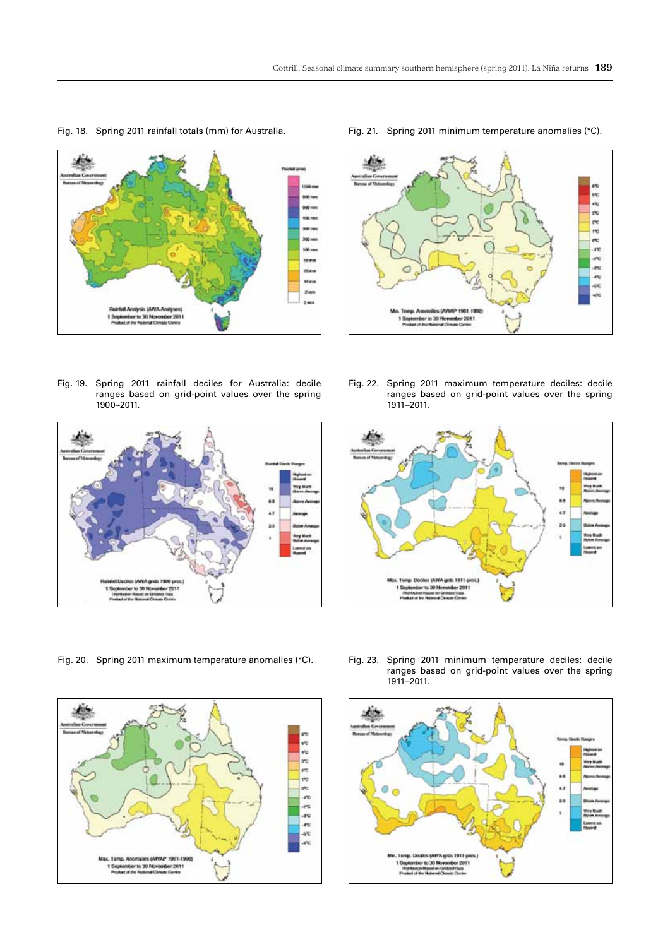

Fig. 18. Spring 2011 rainfall totals (mm) for Australia.

Fig. 19. Spring 2011 rainfall deciles for Australia: decile ranges based on grid-point values over the spring 1900–2011.



Fig. 20. Spring 2011 maximum temperature anomalies (°C).



Fig. 21. Spring 2011 minimum temperature anomalies (°C).



Fig. 22. Spring 2011 maximum temperature deciles: decile ranges based on grid-point values over the spring 1911–2011.



Fig. 23. Spring 2011 minimum temperature deciles: decile ranges based on grid-point values over the spring 1911–2011.

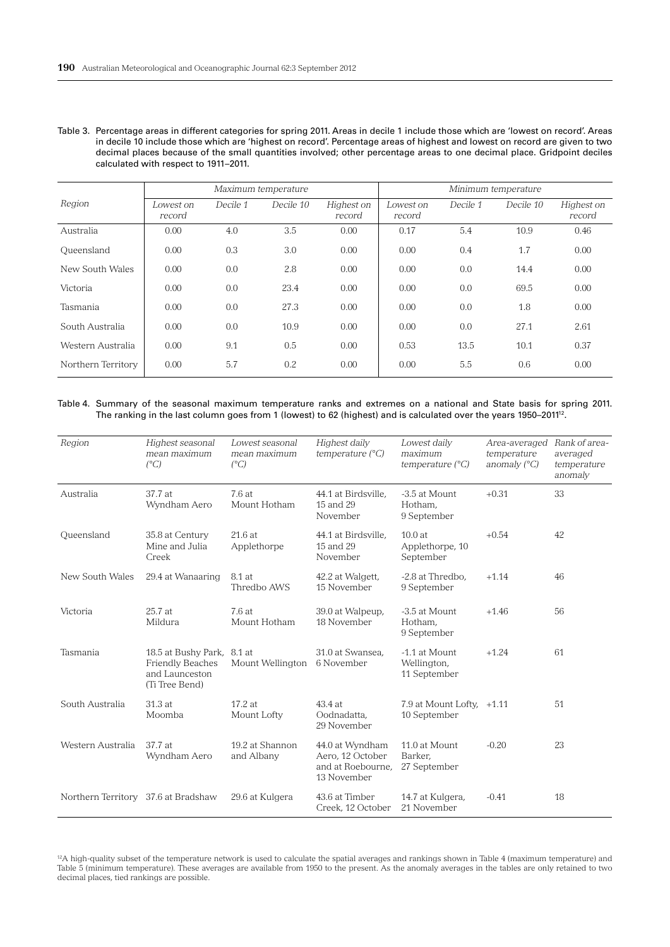Table 3. Percentage areas in different categories for spring 2011. Areas in decile 1 include those which are 'lowest on record'. Areas in decile 10 include those which are 'highest on record'. Percentage areas of highest and lowest on record are given to two decimal places because of the small quantities involved; other percentage areas to one decimal place. Gridpoint deciles calculated with respect to 1911–2011.

|                    | Maximum temperature |          |           |                      | Minimum temperature |          |           |                      |
|--------------------|---------------------|----------|-----------|----------------------|---------------------|----------|-----------|----------------------|
| Region             | Lowest on<br>record | Decile 1 | Decile 10 | Highest on<br>record | Lowest on<br>record | Decile 1 | Decile 10 | Highest on<br>record |
| Australia          | 0.00                | 4.0      | 3.5       | 0.00                 | 0.17                | 5.4      | 10.9      | 0.46                 |
| Queensland         | 0.00                | 0.3      | 3.0       | 0.00                 | 0.00                | 0.4      | 1.7       | 0.00                 |
| New South Wales    | 0.00                | 0.0      | 2.8       | 0.00                 | 0.00                | 0.0      | 14.4      | 0.00                 |
| Victoria           | 0.00                | 0.0      | 23.4      | 0.00                 | 0.00                | 0.0      | 69.5      | 0.00                 |
| Tasmania           | 0.00                | 0.0      | 27.3      | 0.00                 | 0.00                | 0.0      | 1.8       | 0.00                 |
| South Australia    | 0.00                | 0.0      | 10.9      | 0.00                 | 0.00                | 0.0      | 27.1      | 2.61                 |
| Western Australia  | 0.00                | 9.1      | 0.5       | 0.00                 | 0.53                | 13.5     | 10.1      | 0.37                 |
| Northern Territory | 0.00                | 5.7      | 0.2       | 0.00                 | 0.00                | 5.5      | 0.6       | 0.00                 |

Table 4. Summary of the seasonal maximum temperature ranks and extremes on a national and State basis for spring 2011. The ranking in the last column goes from 1 (lowest) to 62 (highest) and is calculated over the years 1950-2011<sup>12</sup>.

| Region                              | Highest seasonal<br>mean maximum<br>$(^{\circ}C)$                                  | Lowest seasonal<br>mean maximum<br>$(^{\circ}C)$ | Highest daily<br>temperature $(^{\circ}C)$                              | Lowest daily<br>maximum<br>temperature $(^{\circ}C)$ | Area-averaged<br>temperature<br>anomaly $(^{\circ}C)$ | Rank of area-<br>averaged<br>temperature<br>anomaly |
|-------------------------------------|------------------------------------------------------------------------------------|--------------------------------------------------|-------------------------------------------------------------------------|------------------------------------------------------|-------------------------------------------------------|-----------------------------------------------------|
| Australia                           | 37.7 at<br>Wyndham Aero                                                            | 7.6at<br>Mount Hotham                            | 44.1 at Birdsville,<br>15 and 29<br>November                            | -3.5 at Mount<br>Hotham,<br>9 September              | $+0.31$                                               | 33                                                  |
| Queensland                          | 35.8 at Century<br>Mine and Julia<br>Creek                                         | 21.6 at<br>Applethorpe                           | 44.1 at Birdsville,<br>15 and 29<br>November                            | 10.0at<br>Applethorpe, 10<br>September               | $+0.54$                                               | 42                                                  |
| New South Wales                     | 29.4 at Wanaaring                                                                  | 8.1 at<br>Thredbo AWS                            | 42.2 at Walgett,<br>15 November                                         | -2.8 at Thredbo,<br>9 September                      | $+1.14$                                               | 46                                                  |
| Victoria                            | 25.7 at<br>Mildura                                                                 | 7.6 at<br>Mount Hotham                           | 39.0 at Walpeup,<br>18 November                                         | -3.5 at Mount<br>Hotham,<br>9 September              | $+1.46$                                               | 56                                                  |
| Tasmania                            | 18.5 at Bushy Park,<br><b>Friendly Beaches</b><br>and Launceston<br>(Ti Tree Bend) | 8.1 at<br>Mount Wellington                       | 31.0 at Swansea,<br>6 November                                          | -1.1 at Mount<br>Wellington,<br>11 September         | $+1.24$                                               | 61                                                  |
| South Australia                     | 31.3 at<br>Moomba                                                                  | 17.2 at<br>Mount Lofty                           | 43.4 at<br>Oodnadatta,<br>29 November                                   | 7.9 at Mount Lofty, $+1.11$<br>10 September          |                                                       | 51                                                  |
| Western Australia                   | 37.7 at<br>Wyndham Aero                                                            | 19.2 at Shannon<br>and Albany                    | 44.0 at Wyndham<br>Aero, 12 October<br>and at Roebourne,<br>13 November | 11.0 at Mount<br>Barker.<br>27 September             | $-0.20$                                               | 23                                                  |
| Northern Territory 37.6 at Bradshaw |                                                                                    | 29.6 at Kulgera                                  | 43.6 at Timber<br>Creek, 12 October                                     | 14.7 at Kulgera,<br>21 November                      | $-0.41$                                               | 18                                                  |

<sup>12</sup>A high-quality subset of the temperature network is used to calculate the spatial averages and rankings shown in Table 4 (maximum temperature) and Table 5 (minimum temperature). These averages are available from 1950 to the present. As the anomaly averages in the tables are only retained to two decimal places, tied rankings are possible.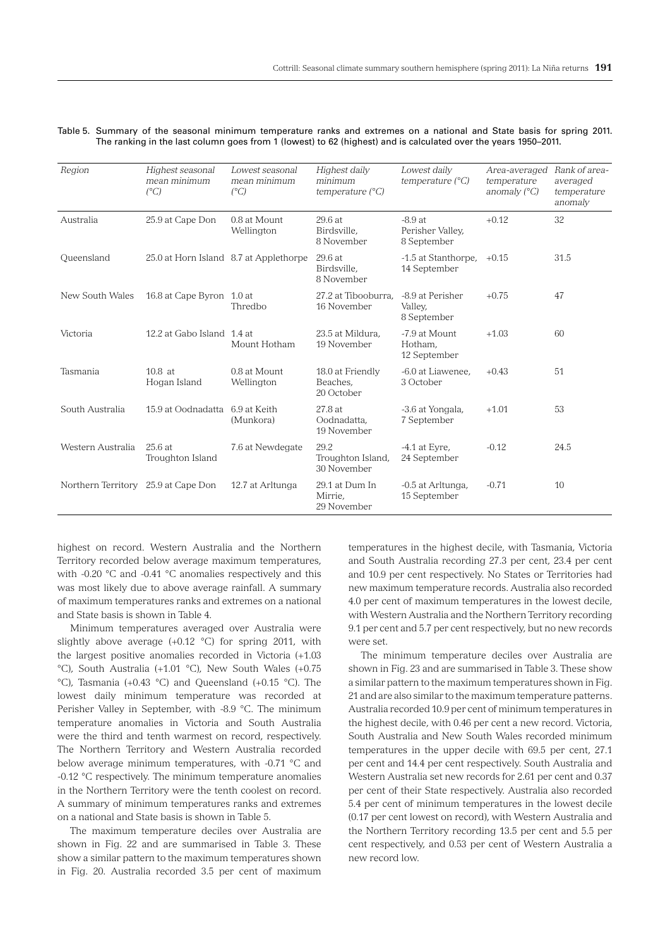#### Table 5. Summary of the seasonal minimum temperature ranks and extremes on a national and State basis for spring 2011. The ranking in the last column goes from 1 (lowest) to 62 (highest) and is calculated over the years 1950–2011.

| Region                              | Highest seasonal<br>mean minimum<br>$(^{\circ}C)$ | Lowest seasonal<br>mean minimum<br>$(^{\circ}C)$ | Highest daily<br>minimum<br>temperature $(^{\circ}C)$ | Lowest daily<br>temperature $(^{\circ}C)$   | Area-averaged<br>temperature<br>anomaly $(^{\circ}C)$ | Rank of area-<br>averaged<br>temperature<br>anomaly |
|-------------------------------------|---------------------------------------------------|--------------------------------------------------|-------------------------------------------------------|---------------------------------------------|-------------------------------------------------------|-----------------------------------------------------|
| Australia                           | 25.9 at Cape Don                                  | 0.8 at Mount<br>Wellington                       | 29.6 at<br>Birdsville.<br>8 November                  | $-8.9at$<br>Perisher Valley,<br>8 September | $+0.12$                                               | 32                                                  |
| Queensland                          |                                                   | 25.0 at Horn Island 8.7 at Applethorpe           | 29.6 at<br>Birdsville,<br>8 November                  | -1.5 at Stanthorpe,<br>14 September         | $+0.15$                                               | 31.5                                                |
| New South Wales                     | 16.8 at Cape Byron 1.0 at                         | Thredbo                                          | 27.2 at Tibooburra.<br>16 November                    | -8.9 at Perisher<br>Valley,<br>8 September  | $+0.75$                                               | 47                                                  |
| Victoria                            | 12.2 at Gabo Island 1.4 at                        | Mount Hotham                                     | 23.5 at Mildura.<br>19 November                       | -7.9 at Mount<br>Hotham,<br>12 September    | $+1.03$                                               | 60                                                  |
| Tasmania                            | $10.8$ at<br>Hogan Island                         | 0.8 at Mount<br>Wellington                       | 18.0 at Friendly<br>Beaches.<br>20 October            | -6.0 at Liawenee,<br>3 October              | $+0.43$                                               | 51                                                  |
| South Australia                     | 15.9 at Oodnadatta                                | 6.9 at Keith<br>(Munkora)                        | 27.8 at<br>Oodnadatta.<br>19 November                 | -3.6 at Yongala,<br>7 September             | $+1.01$                                               | 53                                                  |
| Western Australia                   | 25.6at<br>Troughton Island                        | 7.6 at Newdegate                                 | 29.2<br>Troughton Island,<br>30 November              | $-4.1$ at Eyre,<br>24 September             | $-0.12$                                               | 24.5                                                |
| Northern Territory 25.9 at Cape Don |                                                   | 12.7 at Arltunga                                 | 29.1 at Dum In<br>Mirrie.<br>29 November              | -0.5 at Arltunga,<br>15 September           | $-0.71$                                               | 10                                                  |

highest on record. Western Australia and the Northern Territory recorded below average maximum temperatures, with -0.20 °C and -0.41 °C anomalies respectively and this was most likely due to above average rainfall. A summary of maximum temperatures ranks and extremes on a national and State basis is shown in Table 4.

Minimum temperatures averaged over Australia were slightly above average (+0.12 °C) for spring 2011, with the largest positive anomalies recorded in Victoria (+1.03 °C), South Australia (+1.01 °C), New South Wales (+0.75 °C), Tasmania (+0.43 °C) and Queensland (+0.15 °C). The lowest daily minimum temperature was recorded at Perisher Valley in September, with -8.9 °C. The minimum temperature anomalies in Victoria and South Australia were the third and tenth warmest on record, respectively. The Northern Territory and Western Australia recorded below average minimum temperatures, with -0.71 °C and -0.12 °C respectively. The minimum temperature anomalies in the Northern Territory were the tenth coolest on record. A summary of minimum temperatures ranks and extremes on a national and State basis is shown in Table 5.

The maximum temperature deciles over Australia are shown in Fig. 22 and are summarised in Table 3. These show a similar pattern to the maximum temperatures shown in Fig. 20. Australia recorded 3.5 per cent of maximum temperatures in the highest decile, with Tasmania, Victoria and South Australia recording 27.3 per cent, 23.4 per cent and 10.9 per cent respectively. No States or Territories had new maximum temperature records. Australia also recorded 4.0 per cent of maximum temperatures in the lowest decile, with Western Australia and the Northern Territory recording 9.1 per cent and 5.7 per cent respectively, but no new records were set.

The minimum temperature deciles over Australia are shown in Fig. 23 and are summarised in Table 3. These show a similar pattern to the maximum temperatures shown in Fig. 21 and are also similar to the maximum temperature patterns. Australia recorded 10.9 per cent of minimum temperatures in the highest decile, with 0.46 per cent a new record. Victoria, South Australia and New South Wales recorded minimum temperatures in the upper decile with 69.5 per cent, 27.1 per cent and 14.4 per cent respectively. South Australia and Western Australia set new records for 2.61 per cent and 0.37 per cent of their State respectively. Australia also recorded 5.4 per cent of minimum temperatures in the lowest decile (0.17 per cent lowest on record), with Western Australia and the Northern Territory recording 13.5 per cent and 5.5 per cent respectively, and 0.53 per cent of Western Australia a new record low.